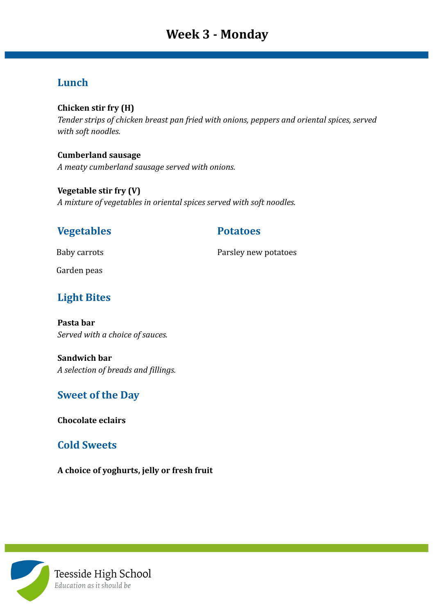# **Lunch**

### **Chicken stir fry (H)**

*Tender strips of chicken breast pan fried with onions, peppers and oriental spices, served with soft noodles.*

### **Cumberland sausage**

*A meaty cumberland sausage served with onions.*

### **Vegetable stir fry (V)** *A mixture of vegetables in oriental spices served with soft noodles.*

# **Vegetables Potatoes**

Baby carrots **Parsley new potatoes** 

Garden peas

# **Light Bites**

**Pasta bar** *Served with a choice of sauces.*

**Sandwich bar** *A selection of breads and fillings.*

## **Sweet of the Day**

**Chocolate eclairs**

## **Cold Sweets**

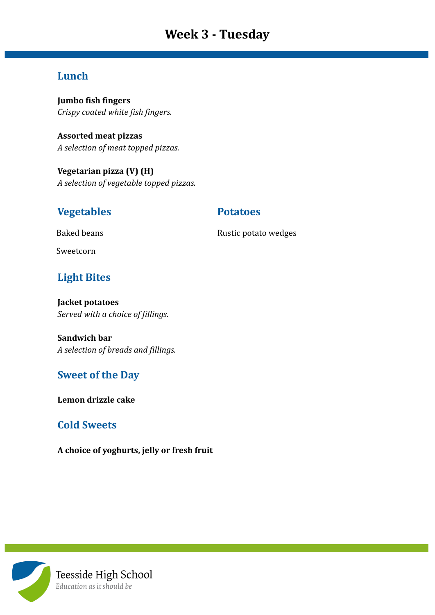# **Week 3 - Tuesday**

### **Lunch**

**Jumbo fish fingers** *Crispy coated white fish fingers.*

**Assorted meat pizzas** *A selection of meat topped pizzas.*

**Vegetarian pizza (V) (H)** *A selection of vegetable topped pizzas.*

### **Vegetables Potatoes**

Baked beans **Rustic potato wedges** Rustic potato wedges

Sweetcorn

# **Light Bites**

**Jacket potatoes** *Served with a choice of fillings.*

**Sandwich bar** *A selection of breads and fillings.*

### **Sweet of the Day**

**Lemon drizzle cake**

### **Cold Sweets**

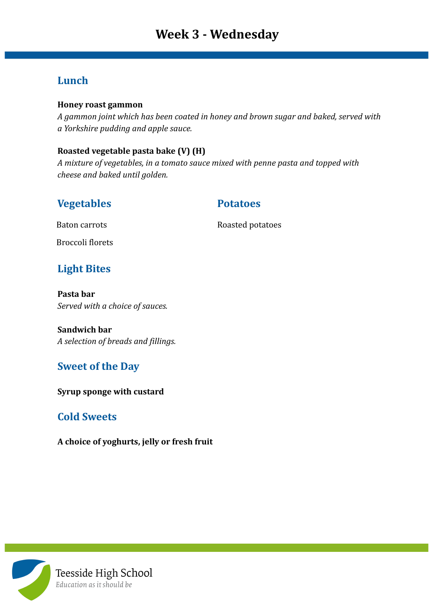### **Lunch**

### **Honey roast gammon**

*A gammon joint which has been coated in honey and brown sugar and baked, served with a Yorkshire pudding and apple sauce.*

### **Roasted vegetable pasta bake (V) (H)**

*A mixture of vegetables, in a tomato sauce mixed with penne pasta and topped with cheese and baked until golden.*

### **Vegetables Potatoes**

Baton carrots Roasted potatoes

Broccoli florets

## **Light Bites**

**Pasta bar** *Served with a choice of sauces.*

**Sandwich bar** *A selection of breads and fillings.*

### **Sweet of the Day**

**Syrup sponge with custard**

### **Cold Sweets**

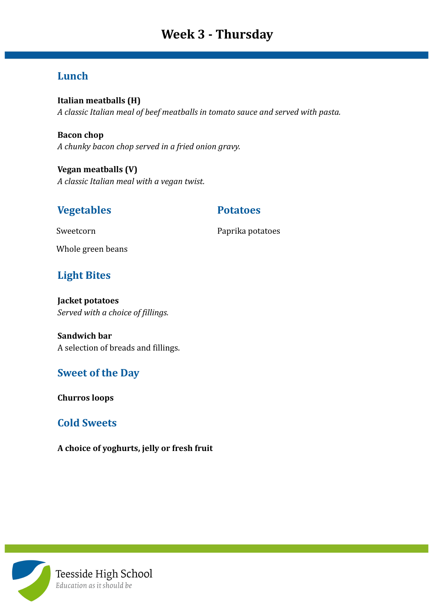# **Week 3 - Thursday**

## **Lunch**

**Italian meatballs (H)** *A classic Italian meal of beef meatballs in tomato sauce and served with pasta.*

**Bacon chop** *A chunky bacon chop served in a fried onion gravy.*

**Vegan meatballs (V)** *A classic Italian meal with a vegan twist.*

### **Vegetables Potatoes**

Sweetcorn **Paprika potatoes** 

Whole green beans

### **Light Bites**

**Jacket potatoes** *Served with a choice of fillings.*

**Sandwich bar** A selection of breads and fillings.

### **Sweet of the Day**

**Churros loops**

### **Cold Sweets**